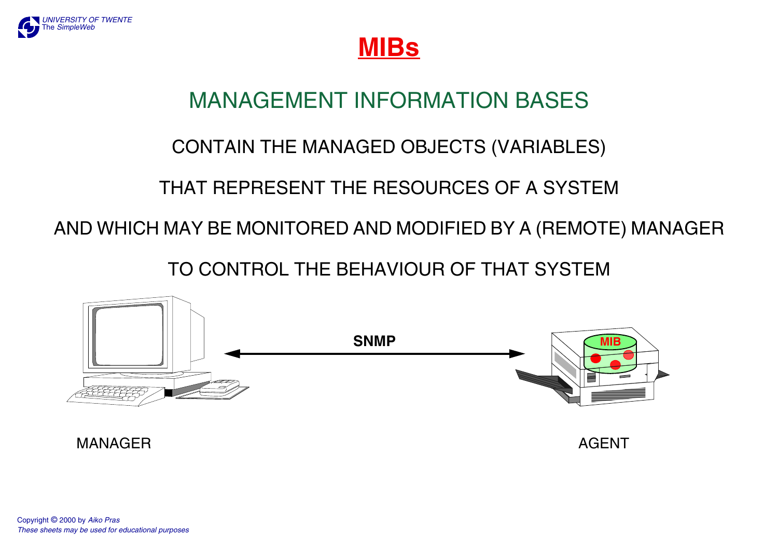

**MIBs**

## MANAGEMENT INFORMATION BASES

### CONTAIN THE MANAGED OBJECTS (VARIABLES)

### THAT REPRESENT THE RESOURCES OF A SYSTEM

AND WHICH MAY BE MONITORED AND MODIFIED BY A (REMOTE) MANAGER

TO CONTROL THE BEHAVIOUR OF THAT SYSTEM

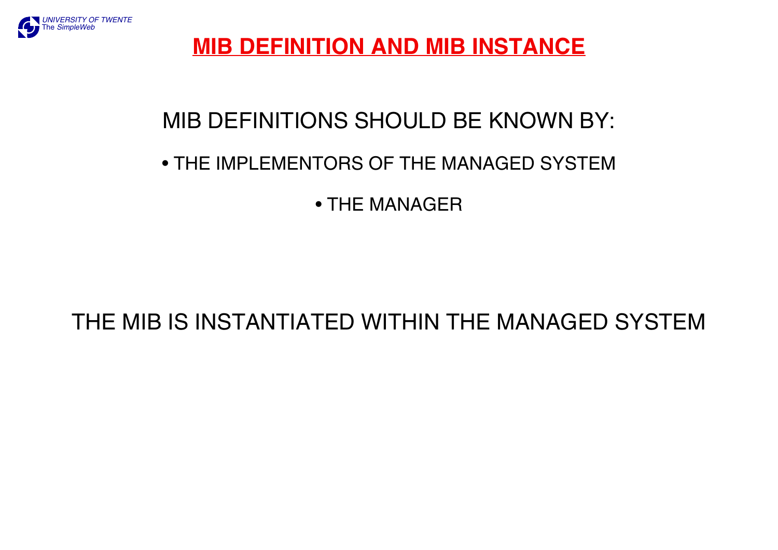

### **MIB DEFINITION AND MIB INSTANCE**

## MIB DEFINITIONS SHOULD BE KNOWN BY:

### • THE IMPLEMENTORS OF THE MANAGED SYSTEM

• THE MANAGER

### THE MIB IS INSTANTIATED WITHIN THE MANAGED SYSTEM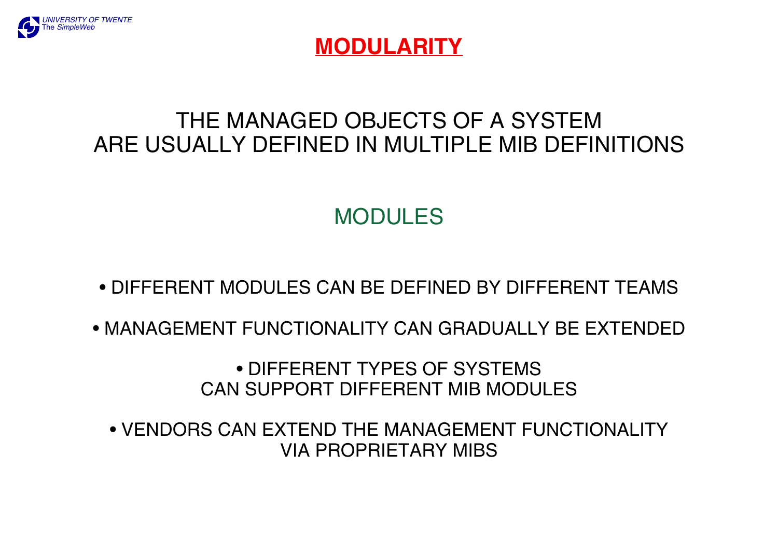

### **MODULARITY**

## THE MANAGED OBJECTS OF A SYSTEMARE USUALLY DEFINED IN MULTIPLE MIB DEFINITIONS

## MODULES

- DIFFERENT MODULES CAN BE DEFINED BY DIFFERENT TEAMS
- MANAGEMENT FUNCTIONALITY CAN GRADUALLY BE EXTENDED

• DIFFERENT TYPES OF SYSTEMS CAN SUPPORT DIFFERENT MIB MODULES

• VENDORS CAN EXTEND THE MANAGEMENT FUNCTIONALITYVIA PROPRIETARY MIBS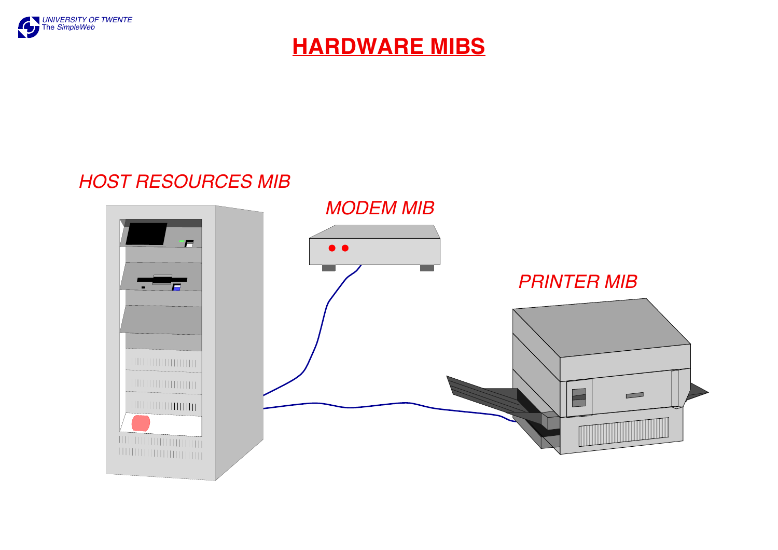

### **HARDWARE MIBS**

#### *HOST RESOURCES MIB*

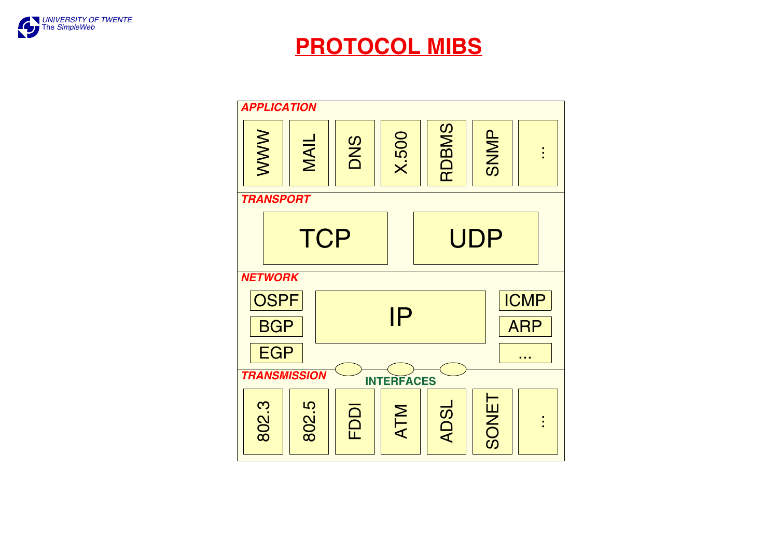

### **PROTOCOL MIBS**

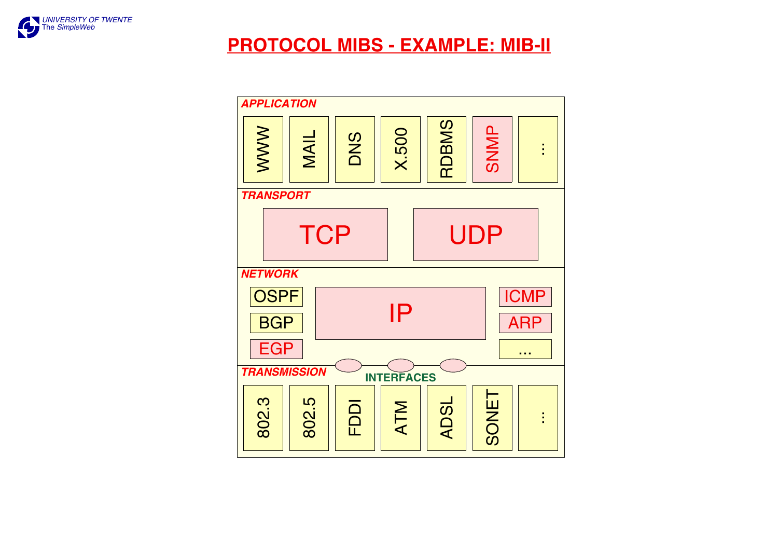

#### **PROTOCOL MIBS - EXAMPLE: MIB-II**

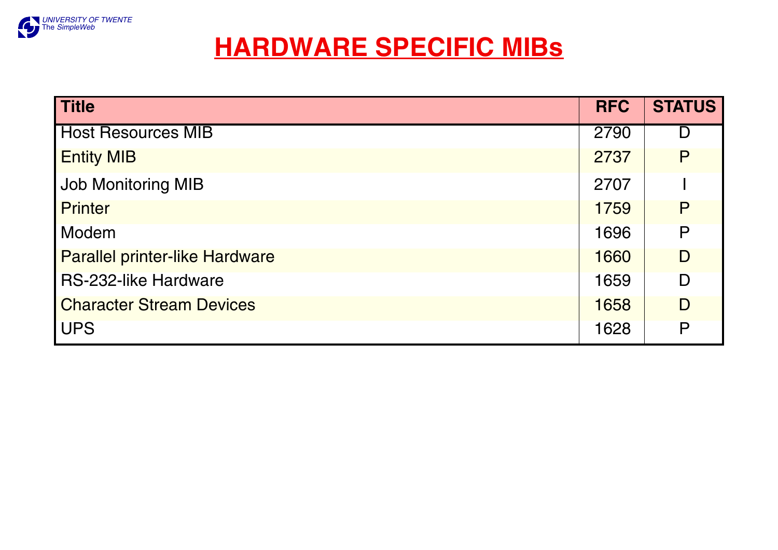

## **HARDWARE SPECIFIC MIBs**

| <b>Title</b>                          | <b>RFC</b> | <b>STATUS</b> |
|---------------------------------------|------------|---------------|
| <b>Host Resources MIB</b>             | 2790       | Г             |
| <b>Entity MIB</b>                     | 2737       | P             |
| <b>Job Monitoring MIB</b>             | 2707       |               |
| <b>Printer</b>                        | 1759       | P             |
| Modem                                 | 1696       | P             |
| <b>Parallel printer-like Hardware</b> | 1660       | D             |
| <b>RS-232-like Hardware</b>           | 1659       | D             |
| <b>Character Stream Devices</b>       | 1658       | D             |
| <b>UPS</b>                            | 1628       | P             |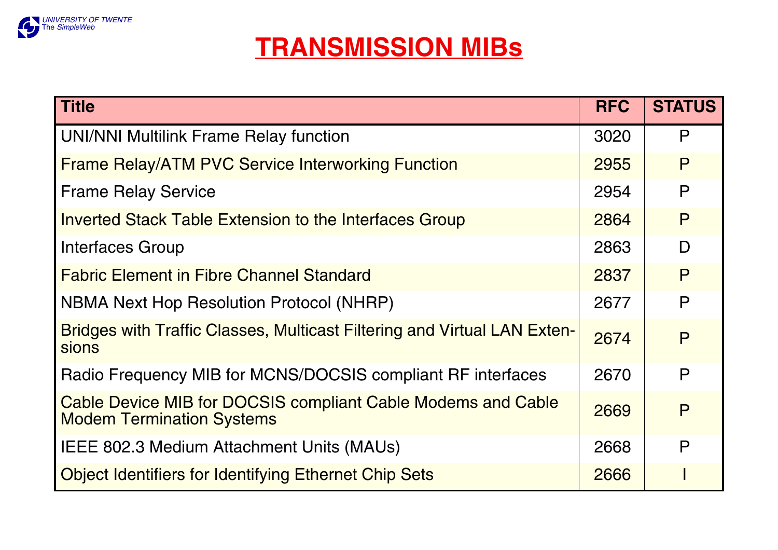

# **TRANSMISSION MIBs**

| <b>Title</b>                                                                                            | <b>RFC</b> | <b>STATUS</b> |
|---------------------------------------------------------------------------------------------------------|------------|---------------|
| <b>UNI/NNI Multilink Frame Relay function</b>                                                           | 3020       | P             |
| <b>Frame Relay/ATM PVC Service Interworking Function</b>                                                | 2955       | P             |
| <b>Frame Relay Service</b>                                                                              | 2954       | P             |
| <b>Inverted Stack Table Extension to the Interfaces Group</b>                                           | 2864       | P             |
| Interfaces Group                                                                                        | 2863       | D             |
| <b>Fabric Element in Fibre Channel Standard</b>                                                         | 2837       | P             |
| <b>NBMA Next Hop Resolution Protocol (NHRP)</b>                                                         | 2677       | P             |
| <b>Bridges with Traffic Classes, Multicast Filtering and Virtual LAN Exten-</b><br>sions                | 2674       | P             |
| Radio Frequency MIB for MCNS/DOCSIS compliant RF interfaces                                             | 2670       | P             |
| <b>Cable Device MIB for DOCSIS compliant Cable Modems and Cable</b><br><b>Modem Termination Systems</b> | 2669       | P             |
| IEEE 802.3 Medium Attachment Units (MAUs)                                                               | 2668       | P             |
| <b>Object Identifiers for Identifying Ethernet Chip Sets</b>                                            | 2666       |               |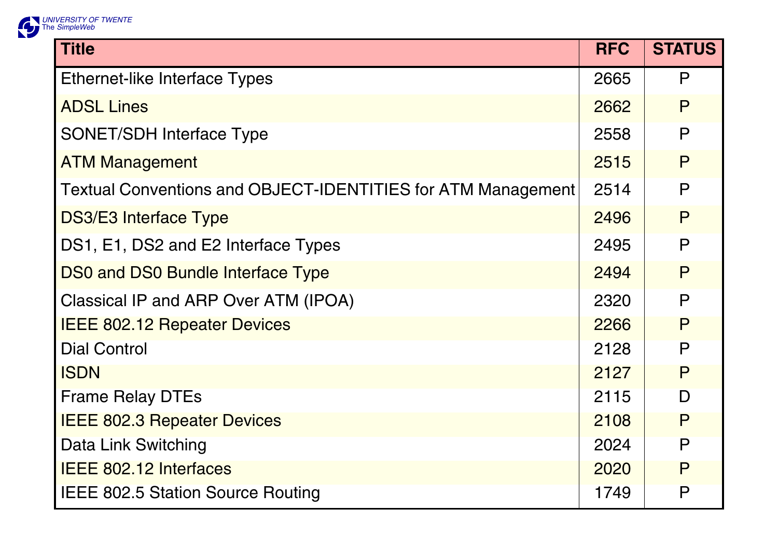

| <b>Title</b>                                                 | <b>RFC</b> | <b>STATUS</b> |
|--------------------------------------------------------------|------------|---------------|
| <b>Ethernet-like Interface Types</b>                         | 2665       | P             |
| <b>ADSL Lines</b>                                            | 2662       | P             |
| <b>SONET/SDH Interface Type</b>                              | 2558       | P             |
| <b>ATM Management</b>                                        | 2515       | P             |
| Textual Conventions and OBJECT-IDENTITIES for ATM Management | 2514       | P             |
| <b>DS3/E3 Interface Type</b>                                 | 2496       | P             |
| DS1, E1, DS2 and E2 Interface Types                          | 2495       | $\mathsf{P}$  |
| <b>DS0 and DS0 Bundle Interface Type</b>                     | 2494       | P             |
| Classical IP and ARP Over ATM (IPOA)                         | 2320       | $\mathsf{P}$  |
| <b>IEEE 802.12 Repeater Devices</b>                          | 2266       | P             |
| <b>Dial Control</b>                                          | 2128       | P             |
| <b>ISDN</b>                                                  | 2127       | $\mathsf{P}$  |
| <b>Frame Relay DTEs</b>                                      | 2115       | D             |
| <b>IEEE 802.3 Repeater Devices</b>                           | 2108       | P             |
| Data Link Switching                                          | 2024       | P             |
| <b>IEEE 802.12 Interfaces</b>                                | 2020       | P             |
| <b>IEEE 802.5 Station Source Routing</b>                     | 1749       | $\mathsf{P}$  |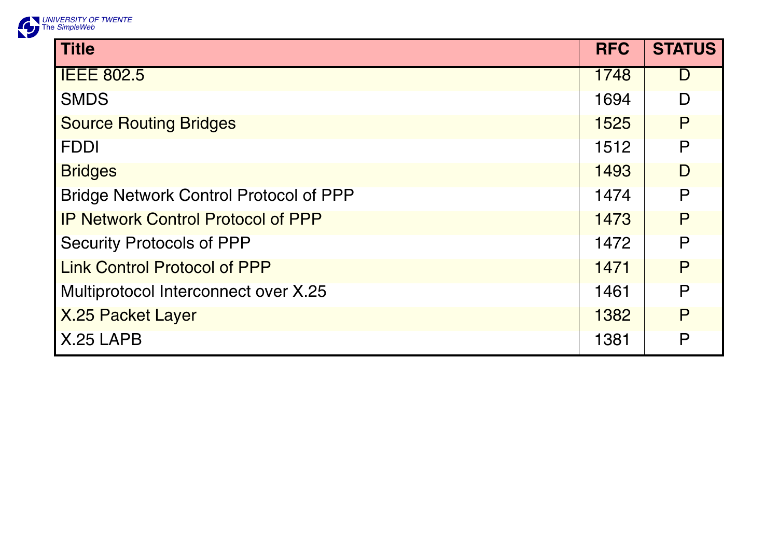

| <b>Title</b>                                  | <b>RFC</b> | <b>STATUS</b> |
|-----------------------------------------------|------------|---------------|
| <b>IEEE 802.5</b>                             | 1748       | D             |
| <b>SMDS</b>                                   | 1694       | D             |
| <b>Source Routing Bridges</b>                 | 1525       | P             |
| <b>FDDI</b>                                   | 1512       | $\mathsf{P}$  |
| <b>Bridges</b>                                | 1493       | D             |
| <b>Bridge Network Control Protocol of PPP</b> | 1474       | P             |
| <b>IP Network Control Protocol of PPP</b>     | 1473       | P             |
| <b>Security Protocols of PPP</b>              | 1472       | $\mathsf{P}$  |
| <b>Link Control Protocol of PPP</b>           | 1471       | P             |
| Multiprotocol Interconnect over X.25          | 1461       | P             |
| <b>X.25 Packet Layer</b>                      | 1382       | P             |
| X.25 LAPB                                     | 1381       | $\mathsf{P}$  |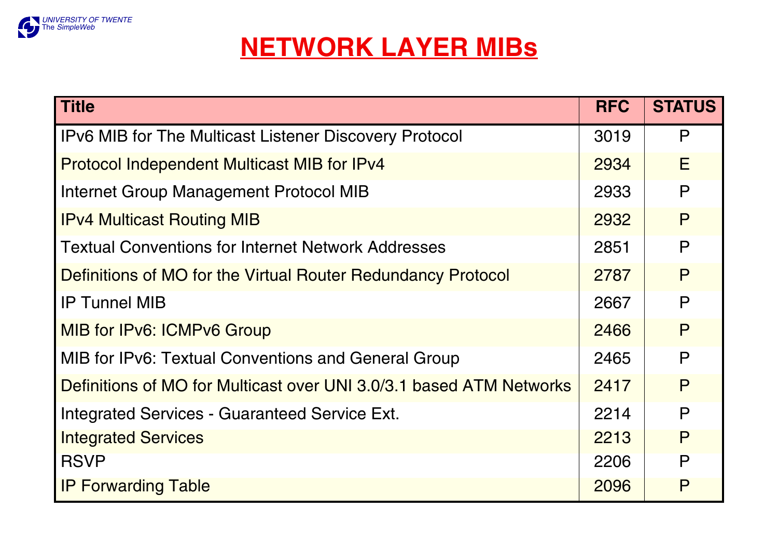

# **NETWORK LAYER MIBs**

| <b>Title</b>                                                        | <b>RFC</b> | <b>STATUS</b> |
|---------------------------------------------------------------------|------------|---------------|
| <b>IPv6 MIB for The Multicast Listener Discovery Protocol</b>       | 3019       | P             |
| <b>Protocol Independent Multicast MIB for IPv4</b>                  | 2934       | E             |
| Internet Group Management Protocol MIB                              | 2933       | P             |
| <b>IPv4 Multicast Routing MIB</b>                                   | 2932       | P             |
| l Textual Conventions for Internet Network Addresses                | 2851       | P             |
| Definitions of MO for the Virtual Router Redundancy Protocol        | 2787       | P             |
| <b>IP Tunnel MIB</b>                                                | 2667       | P             |
| MIB for IPv6: ICMPv6 Group                                          | 2466       | P             |
| MIB for IPv6: Textual Conventions and General Group                 | 2465       | $\mathsf{P}$  |
| Definitions of MO for Multicast over UNI 3.0/3.1 based ATM Networks | 2417       | P             |
| Integrated Services - Guaranteed Service Ext.                       | 2214       | P             |
| <b>Integrated Services</b>                                          | 2213       | P             |
| <b>RSVP</b>                                                         | 2206       | P             |
| <b>IP Forwarding Table</b>                                          | 2096       | P             |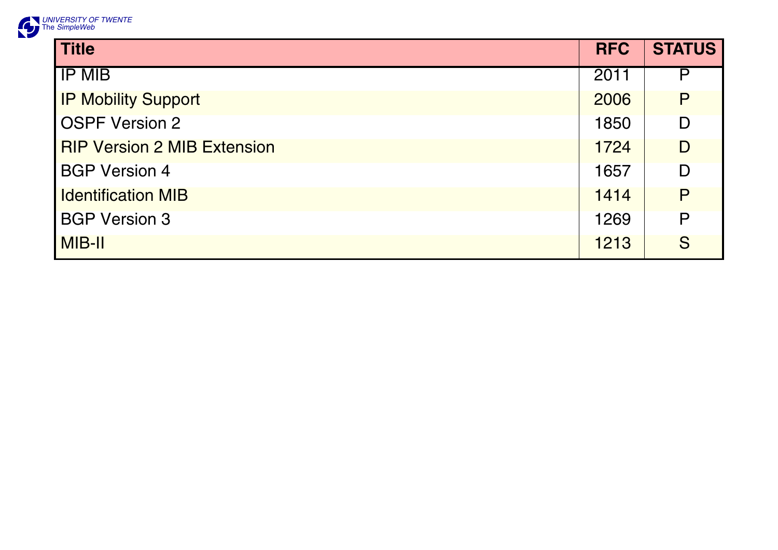

| <b>Title</b>                       | <b>RFC</b> | <b>STATUS</b> |
|------------------------------------|------------|---------------|
| <b>IP MIB</b>                      | 2011       | P             |
| <b>IP Mobility Support</b>         | 2006       | P             |
| <b>OSPF Version 2</b>              | 1850       | D             |
| <b>RIP Version 2 MIB Extension</b> | 1724       | D             |
| <b>BGP Version 4</b>               | 1657       | D             |
| <b>Identification MIB</b>          | 1414       | P             |
| <b>BGP Version 3</b>               | 1269       | P             |
| MIB-II                             | 1213       | S             |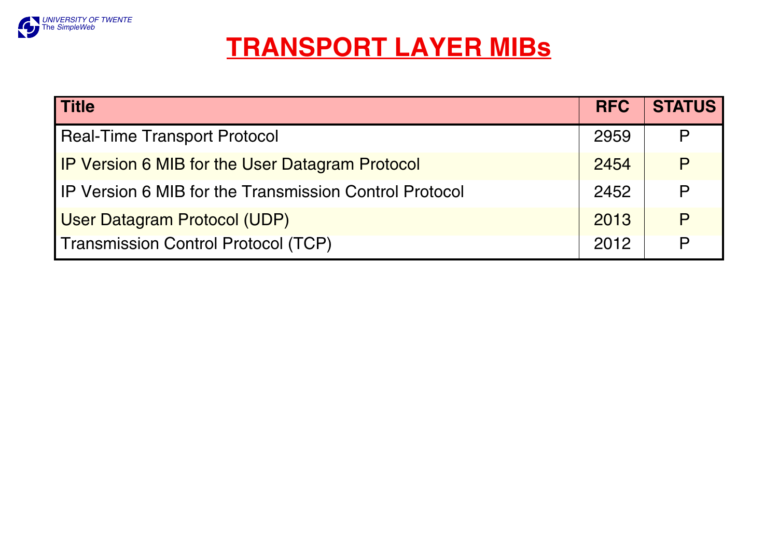

## **TRANSPORT LAYER MIBs**

| <b>Title</b>                                                  | <b>RFC</b> | <b>STATUS</b> |
|---------------------------------------------------------------|------------|---------------|
| <b>Real-Time Transport Protocol</b>                           | 2959       | P             |
| <b>IP Version 6 MIB for the User Datagram Protocol</b>        | 2454       | P             |
| <b>IP Version 6 MIB for the Transmission Control Protocol</b> | 2452       | P             |
| <b>User Datagram Protocol (UDP)</b>                           | 2013       | P             |
| <b>Transmission Control Protocol (TCP)</b>                    | 2012       | P             |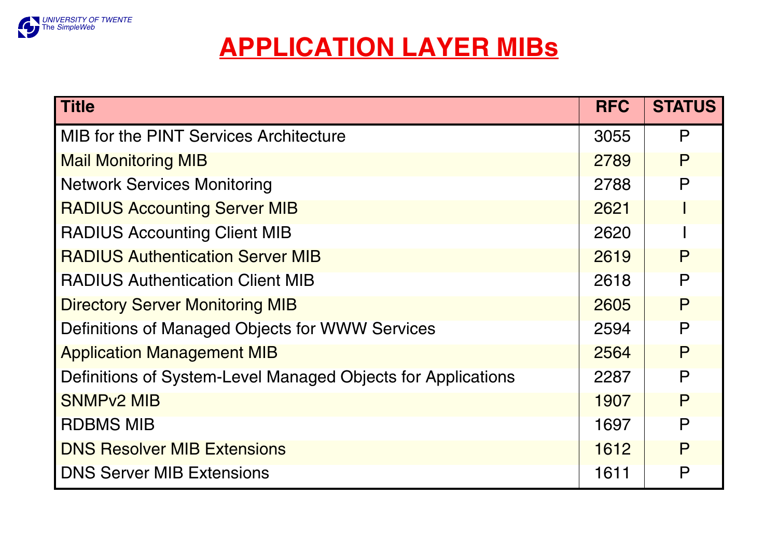

## **APPLICATION LAYER MIBs**

| <b>Title</b>                                                 | <b>RFC</b> | <b>STATUS</b> |
|--------------------------------------------------------------|------------|---------------|
| MIB for the PINT Services Architecture                       | 3055       | P             |
| <b>Mail Monitoring MIB</b>                                   | 2789       | P             |
| <b>Network Services Monitoring</b>                           | 2788       | P             |
| <b>RADIUS Accounting Server MIB</b>                          | 2621       |               |
| <b>RADIUS Accounting Client MIB</b>                          | 2620       |               |
| <b>RADIUS Authentication Server MIB</b>                      | 2619       | P             |
| <b>RADIUS Authentication Client MIB</b>                      | 2618       | P             |
| <b>Directory Server Monitoring MIB</b>                       | 2605       | P             |
| Definitions of Managed Objects for WWW Services              | 2594       | P             |
| <b>Application Management MIB</b>                            | 2564       | P             |
| Definitions of System-Level Managed Objects for Applications | 2287       | P             |
| <b>SNMPv2 MIB</b>                                            | 1907       | P             |
| <b>RDBMS MIB</b>                                             | 1697       | P             |
| <b>DNS Resolver MIB Extensions</b>                           | 1612       | P             |
| <b>DNS Server MIB Extensions</b>                             | 1611       | P             |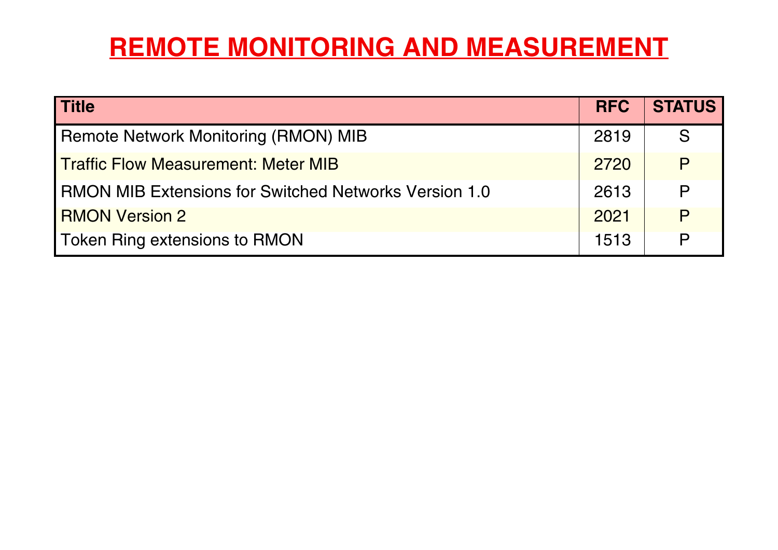# **REMOTE MONITORING AND MEASUREMENT**

| <b>Title</b>                                                   | <b>RFC</b> | <b>STATUS</b> |
|----------------------------------------------------------------|------------|---------------|
| <b>Remote Network Monitoring (RMON) MIB</b>                    | 2819       | S             |
| <b>Traffic Flow Measurement: Meter MIB</b>                     | 2720       | P             |
| <b>I RMON MIB Extensions for Switched Networks Version 1.0</b> | 2613       | $\mathsf{P}$  |
| <b>RMON Version 2</b>                                          | 2021       | P             |
| Token Ring extensions to RMON                                  | 1513       | P             |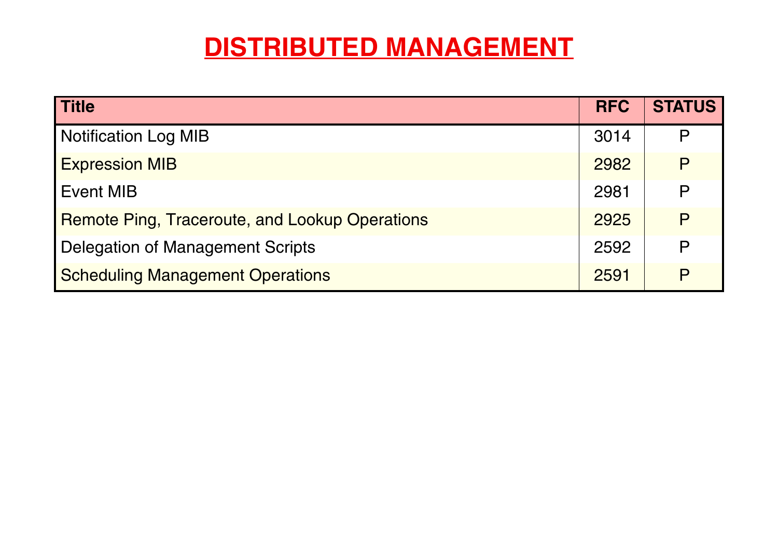# **DISTRIBUTED MANAGEMENT**

| <b>Title</b>                                          | <b>RFC</b> | <b>STATUS</b> |
|-------------------------------------------------------|------------|---------------|
| <b>Notification Log MIB</b>                           | 3014       | P             |
| <b>Expression MIB</b>                                 | 2982       | P             |
| Event MIB                                             | 2981       | P             |
| <b>Remote Ping, Traceroute, and Lookup Operations</b> | 2925       | $\mathsf{p}$  |
| Delegation of Management Scripts                      | 2592       | P             |
| <b>Scheduling Management Operations</b>               | 2591       | $\mathsf{p}$  |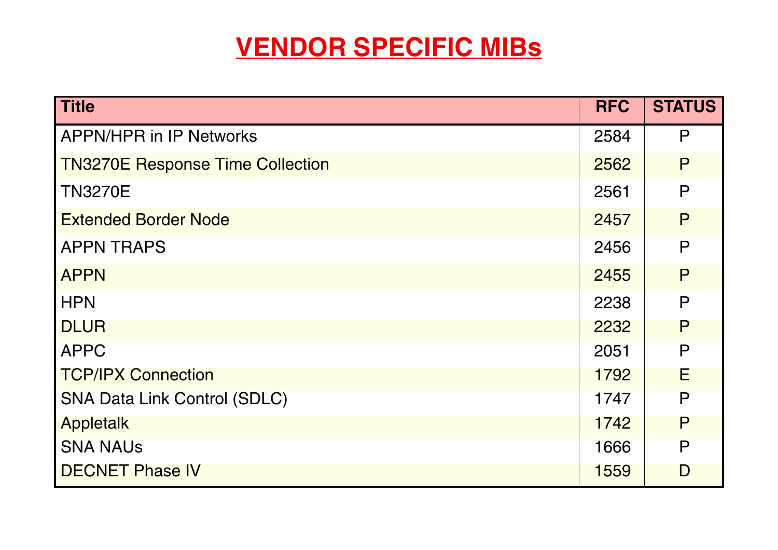# **VENDOR SPECIFIC MIBs**

| Title                                   | <b>RFC</b> | <b>STATUS</b> |
|-----------------------------------------|------------|---------------|
| <b>APPN/HPR in IP Networks</b>          | 2584       | P             |
| <b>TN3270E Response Time Collection</b> | 2562       | P             |
| <b>TN3270E</b>                          | 2561       | $\mathsf{P}$  |
| <b>Extended Border Node</b>             | 2457       | P             |
| <b>APPN TRAPS</b>                       | 2456       | P             |
| <b>APPN</b>                             | 2455       | P             |
| <b>HPN</b>                              | 2238       | P             |
| <b>DLUR</b>                             | 2232       | P             |
| <b>APPC</b>                             | 2051       | P             |
| <b>TCP/IPX Connection</b>               | 1792       | E             |
| <b>SNA Data Link Control (SDLC)</b>     | 1747       | P             |
| <b>Appletalk</b>                        | 1742       | P             |
| <b>SNA NAUS</b>                         | 1666       | P             |
| <b>DECNET Phase IV</b>                  | 1559       | D             |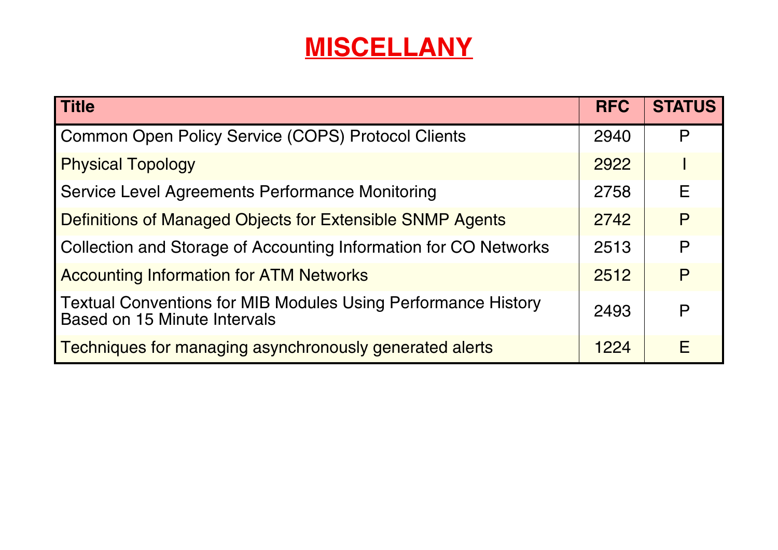# **MISCELLANY**

| <b>Title</b>                                                                                         | <b>RFC</b> | <b>STATUS</b> |
|------------------------------------------------------------------------------------------------------|------------|---------------|
| <b>Common Open Policy Service (COPS) Protocol Clients</b>                                            | 2940       | P             |
| <b>Physical Topology</b>                                                                             | 2922       |               |
| <b>Service Level Agreements Performance Monitoring</b>                                               | 2758       | Е             |
| <b>Definitions of Managed Objects for Extensible SNMP Agents</b>                                     | 2742       | P             |
| Collection and Storage of Accounting Information for CO Networks                                     | 2513       | P             |
| <b>Accounting Information for ATM Networks</b>                                                       | 2512       | P             |
| <b>Textual Conventions for MIB Modules Using Performance History</b><br>Based on 15 Minute Intervals | 2493       | P             |
| Techniques for managing asynchronously generated alerts                                              | 1224       | E             |